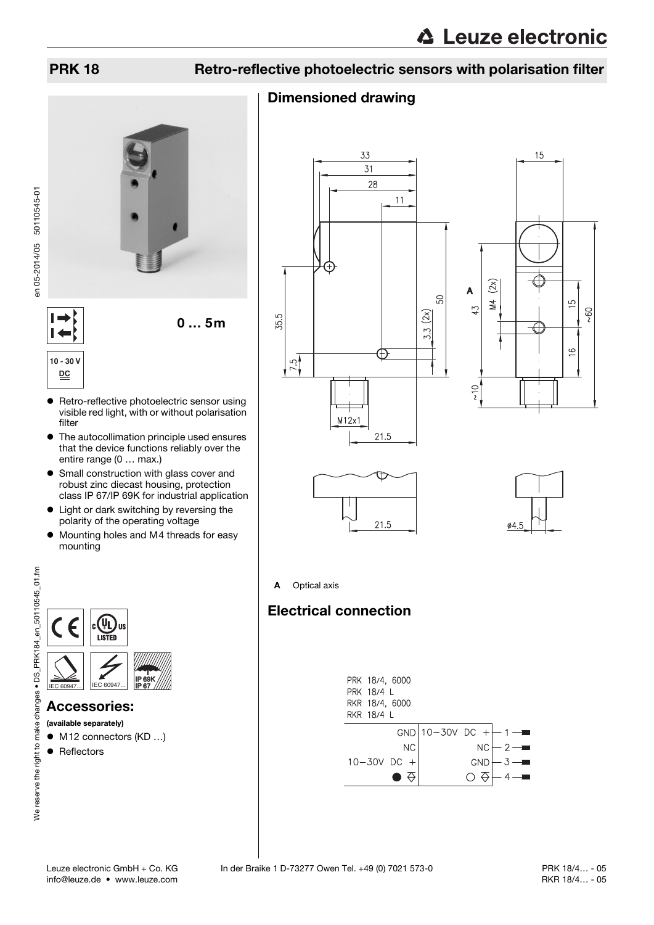## PRK 18 Retro-reflective photoelectric sensors with polarisation filter

#### Dimensioned drawing





 $\vdash$  $\overline{1}$ **10 - 30 V DC**

- **•** Retro-reflective photoelectric sensor using visible red light, with or without polarisation filter
- $\bullet$  The autocollimation principle used ensures that the device functions reliably over the entire range (0 … max.)
- Small construction with glass cover and robust zinc diecast housing, protection class IP 67/IP 69K for industrial application
- Light or dark switching by reversing the polarity of the operating voltage
- $\bullet$  Mounting holes and M4 threads for easy mounting



### Accessories:

- (available separately)
- M12 connectors (KD ...)
- Reflectors









A Optical axis

### Electrical connection



We reserve the right to make changes . DS\_PRK184\_en\_50110545\_01.fm We reserve the right to make changes • DS\_PRK184\_en\_50110545\_01.fm